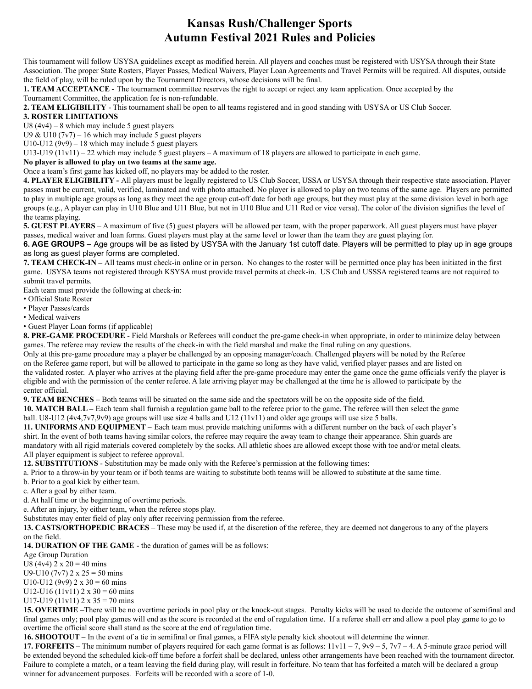## **Kansas Rush/Challenger Sports Autumn Festival 2021 Rules and Policies**

This tournament will follow USYSA guidelines except as modified herein. All players and coaches must be registered with USYSA through their State Association. The proper State Rosters, Player Passes, Medical Waivers, Player Loan Agreements and Travel Permits will be required. All disputes, outside the field of play, will be ruled upon by the Tournament Directors, whose decisions will be final.

**1. TEAM ACCEPTANCE -** The tournament committee reserves the right to accept or reject any team application. Once accepted by the Tournament Committee, the application fee is non-refundable.

**2. TEAM ELIGIBILITY** - This tournament shall be open to all teams registered and in good standing with USYSA or US Club Soccer.

## **3. ROSTER LIMITATIONS**

U8  $(4v4) - 8$  which may include 5 guest players

U9 & U10 ( $7v7$ ) – 16 which may include 5 guest players

U10-U12 ( $9v9$ ) – 18 which may include 5 guest players

U13-U19 (11v11) – 22 which may include 5 guest players – A maximum of 18 players are allowed to participate in each game.

## **No player is allowed to play on two teams at the same age.**

Once a team's first game has kicked off, no players may be added to the roster.

**4. PLAYER ELIGIBILITY -** All players must be legally registered to US Club Soccer, USSA or USYSA through their respective state association. Player passes must be current, valid, verified, laminated and with photo attached. No player is allowed to play on two teams of the same age. Players are permitted to play in multiple age groups as long as they meet the age group cut-off date for both age groups, but they must play at the same division level in both age groups (e.g., A player can play in U10 Blue and U11 Blue, but not in U10 Blue and U11 Red or vice versa). The color of the division signifies the level of the teams playing.

**5. GUEST PLAYERS** – A maximum of five (5) guest players will be allowed per team, with the proper paperwork. All guest players must have player passes, medical waiver and loan forms. Guest players must play at the same level or lower than the team they are guest playing for.

**6. AGE GROUPS –** Age groups will be as listed by USYSA with the January 1st cutoff date. Players will be permitted to play up in age groups as long as guest player forms are completed.

**7. TEAM CHECK-IN –** All teams must check-in online or in person. No changes to the roster will be permitted once play has been initiated in the first game. USYSA teams not registered through KSYSA must provide travel permits at check-in. US Club and USSSA registered teams are not required to submit travel permits.

Each team must provide the following at check-in:

• Official State Roster

• Player Passes/cards

• Medical waivers

• Guest Player Loan forms (if applicable)

**8. PRE-GAME PROCEDURE** - Field Marshals or Referees will conduct the pre-game check-in when appropriate, in order to minimize delay between games. The referee may review the results of the check-in with the field marshal and make the final ruling on any questions.

Only at this pre-game procedure may a player be challenged by an opposing manager/coach. Challenged players will be noted by the Referee on the Referee game report, but will be allowed to participate in the game so long as they have valid, verified player passes and are listed on the validated roster. A player who arrives at the playing field after the pre-game procedure may enter the game once the game officials verify the player is eligible and with the permission of the center referee. A late arriving player may be challenged at the time he is allowed to participate by the center official.

**9. TEAM BENCHES** – Both teams will be situated on the same side and the spectators will be on the opposite side of the field.

**10. MATCH BALL –** Each team shall furnish a regulation game ball to the referee prior to the game. The referee will then select the game ball. U8-U12 (4v4,7v7,9v9) age groups will use size 4 balls and U12 (11v11) and older age groups will use size 5 balls.

**11. UNIFORMS AND EQUIPMENT –** Each team must provide matching uniforms with a different number on the back of each player's shirt. In the event of both teams having similar colors, the referee may require the away team to change their appearance. Shin guards are mandatory with all rigid materials covered completely by the socks. All athletic shoes are allowed except those with toe and/or metal cleats. All player equipment is subject to referee approval.

**12. SUBSTITUTIONS** - Substitution may be made only with the Referee's permission at the following times:

a. Prior to a throw-in by your team or if both teams are waiting to substitute both teams will be allowed to substitute at the same time.

b. Prior to a goal kick by either team.

c. After a goal by either team.

d. At half time or the beginning of overtime periods.

e. After an injury, by either team, when the referee stops play.

Substitutes may enter field of play only after receiving permission from the referee.

**13. CASTS/ORTHOPEDIC BRACES** – These may be used if, at the discretion of the referee, they are deemed not dangerous to any of the players on the field.

**14. DURATION OF THE GAME** - the duration of games will be as follows:

Age Group Duration

U8 (4v4)  $2 \times 20 = 40$  mins

U9-U10 (7v7)  $2 \times 25 = 50$  mins

U10-U12 (9v9)  $2 \times 30 = 60$  mins

U12-U16 (11v11)  $2 \times 30 = 60$  mins

U17-U19 (11v11)  $2 \times 35 = 70$  mins

**15. OVERTIME –**There will be no overtime periods in pool play or the knock-out stages. Penalty kicks will be used to decide the outcome of semifinal and final games only; pool play games will end as the score is recorded at the end of regulation time. If a referee shall err and allow a pool play game to go to overtime the official score shall stand as the score at the end of regulation time.

**16. SHOOTOUT –** In the event of a tie in semifinal or final games, a FIFA style penalty kick shootout will determine the winner.

**17. FORFEITS** – The minimum number of players required for each game format is as follows:  $11v11 - 7$ ,  $9v9 - 5$ ,  $7v7 - 4$ . A 5-minute grace period will be extended beyond the scheduled kick-off time before a forfeit shall be declared, unless other arrangements have been reached with the tournament director. Failure to complete a match, or a team leaving the field during play, will result in forfeiture. No team that has forfeited a match will be declared a group winner for advancement purposes. Forfeits will be recorded with a score of 1-0.